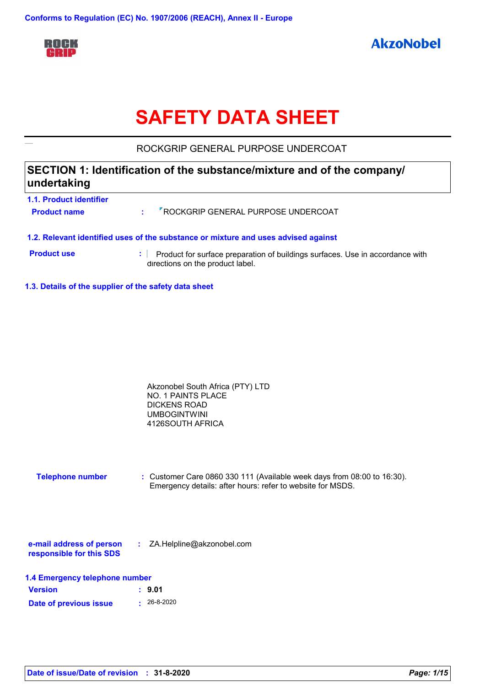

# **SAFETY DATA SHEET**

ROCKGRIP GENERAL PURPOSE UNDERCOAT

## **SECTION 1: Identification of the substance/mixture and of the company/ undertaking**

| <b>1.1. Product identifier</b><br><b>Product name</b> | di l | <b>7 ROCKGRIP GENERAL PURPOSE UNDERCOAT</b>                                                                                                                         |
|-------------------------------------------------------|------|---------------------------------------------------------------------------------------------------------------------------------------------------------------------|
| <b>Product use</b>                                    |      | 1.2. Relevant identified uses of the substance or mixture and uses advised against<br>Product for surface preparation of buildings surfaces. Use in accordance with |
|                                                       |      | directions on the product label.                                                                                                                                    |

**1.3. Details of the supplier of the safety data sheet**

| Akzonobel South Africa (PTY) LTD |  |
|----------------------------------|--|
| NO. 1 PAINTS PLACE               |  |
| DICKENS ROAD                     |  |
| <b>UMBOGINTWINI</b>              |  |
| 4126SOUTH AFRICA                 |  |

| <b>Telephone number</b> | : Customer Care 0860 330 111 (Available week days from 08:00 to 16:30). |
|-------------------------|-------------------------------------------------------------------------|
|                         | Emergency details: after hours: refer to website for MSDS.              |

| e-mail address of person | ZA.Helpline@akzonobel.com |  |
|--------------------------|---------------------------|--|
| responsible for this SDS |                           |  |

|  | 1.4 Emergency telephone number |  |  |
|--|--------------------------------|--|--|
|--|--------------------------------|--|--|

| <b>Version</b>         | : 9.01            |
|------------------------|-------------------|
| Date of previous issue | $\cdot$ 26-8-2020 |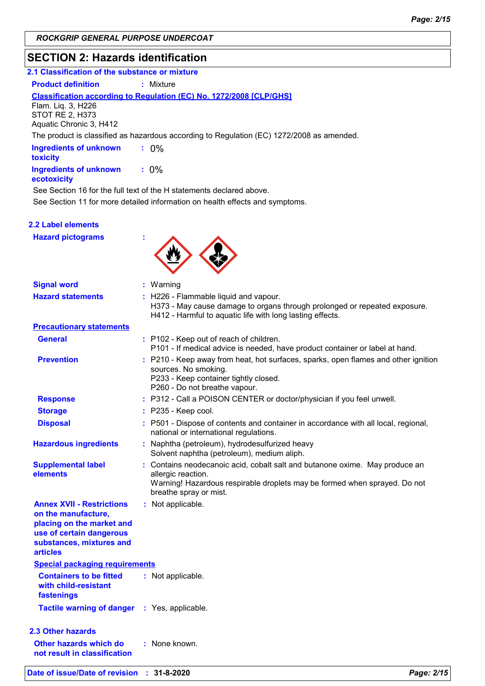## **SECTION 2: Hazards identification**

| 2.1 Classification of the substance or mixture                                                                                                                  |                                                                                                                                                                                                          |  |
|-----------------------------------------------------------------------------------------------------------------------------------------------------------------|----------------------------------------------------------------------------------------------------------------------------------------------------------------------------------------------------------|--|
| <b>Product definition</b>                                                                                                                                       | $:$ Mixture                                                                                                                                                                                              |  |
| Flam. Liq. 3, H226<br><b>STOT RE 2, H373</b><br>Aquatic Chronic 3, H412                                                                                         | Classification according to Regulation (EC) No. 1272/2008 [CLP/GHS]                                                                                                                                      |  |
|                                                                                                                                                                 | The product is classified as hazardous according to Regulation (EC) 1272/2008 as amended.                                                                                                                |  |
| <b>Ingredients of unknown</b><br>toxicity                                                                                                                       | $: 0\%$                                                                                                                                                                                                  |  |
| <b>Ingredients of unknown</b><br>ecotoxicity                                                                                                                    | $: 0\%$                                                                                                                                                                                                  |  |
|                                                                                                                                                                 | See Section 16 for the full text of the H statements declared above.<br>See Section 11 for more detailed information on health effects and symptoms.                                                     |  |
| <b>2.2 Label elements</b>                                                                                                                                       |                                                                                                                                                                                                          |  |
| <b>Hazard pictograms</b>                                                                                                                                        |                                                                                                                                                                                                          |  |
| <b>Signal word</b>                                                                                                                                              | : Warning                                                                                                                                                                                                |  |
| <b>Hazard statements</b>                                                                                                                                        | : H226 - Flammable liquid and vapour.<br>H373 - May cause damage to organs through prolonged or repeated exposure.<br>H412 - Harmful to aquatic life with long lasting effects.                          |  |
| <b>Precautionary statements</b>                                                                                                                                 |                                                                                                                                                                                                          |  |
| <b>General</b>                                                                                                                                                  | : P102 - Keep out of reach of children.<br>P101 - If medical advice is needed, have product container or label at hand.                                                                                  |  |
| <b>Prevention</b>                                                                                                                                               | : P210 - Keep away from heat, hot surfaces, sparks, open flames and other ignition<br>sources. No smoking.<br>P233 - Keep container tightly closed.<br>P260 - Do not breathe vapour.                     |  |
| <b>Response</b>                                                                                                                                                 | : P312 - Call a POISON CENTER or doctor/physician if you feel unwell.                                                                                                                                    |  |
| <b>Storage</b>                                                                                                                                                  | $:$ P235 - Keep cool.                                                                                                                                                                                    |  |
| <b>Disposal</b>                                                                                                                                                 | : P501 - Dispose of contents and container in accordance with all local, regional,<br>national or international regulations.                                                                             |  |
| <b>Hazardous ingredients</b>                                                                                                                                    | Naphtha (petroleum), hydrodesulfurized heavy<br>Solvent naphtha (petroleum), medium aliph.                                                                                                               |  |
| <b>Supplemental label</b><br>elements                                                                                                                           | : Contains neodecanoic acid, cobalt salt and butanone oxime. May produce an<br>allergic reaction.<br>Warning! Hazardous respirable droplets may be formed when sprayed. Do not<br>breathe spray or mist. |  |
| <b>Annex XVII - Restrictions</b><br>on the manufacture,<br>placing on the market and<br>use of certain dangerous<br>substances, mixtures and<br><b>articles</b> | : Not applicable.                                                                                                                                                                                        |  |
| <b>Special packaging requirements</b>                                                                                                                           |                                                                                                                                                                                                          |  |
| <b>Containers to be fitted</b><br>with child-resistant<br>fastenings                                                                                            | : Not applicable.                                                                                                                                                                                        |  |
| <b>Tactile warning of danger</b>                                                                                                                                | : Yes, applicable.                                                                                                                                                                                       |  |
| <b>2.3 Other hazards</b>                                                                                                                                        |                                                                                                                                                                                                          |  |
| Other hazards which do                                                                                                                                          | : None known.                                                                                                                                                                                            |  |

**not result in classification**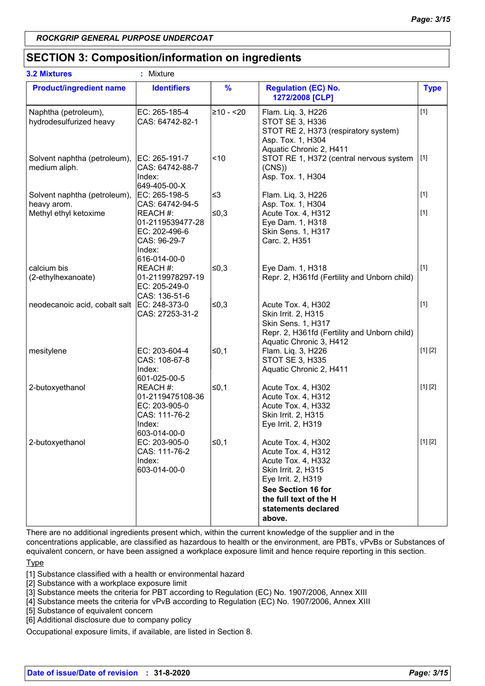## **SECTION 3: Composition/information on ingredients**

| <b>3.2 Mixtures</b>                             | ÷<br>Mixture                                                                               |               |                                                                                                                                                                                              |             |
|-------------------------------------------------|--------------------------------------------------------------------------------------------|---------------|----------------------------------------------------------------------------------------------------------------------------------------------------------------------------------------------|-------------|
| <b>Product/ingredient name</b>                  | <b>Identifiers</b>                                                                         | $\frac{9}{6}$ | <b>Regulation (EC) No.</b><br>1272/2008 [CLP]                                                                                                                                                | <b>Type</b> |
| Naphtha (petroleum),<br>hydrodesulfurized heavy | EC: 265-185-4<br>CAS: 64742-82-1                                                           | 210 - <20     | Flam. Liq. 3, H226<br>STOT SE 3, H336<br>STOT RE 2, H373 (respiratory system)<br>Asp. Tox. 1, H304<br>Aquatic Chronic 2, H411                                                                | $[1]$       |
| Solvent naphtha (petroleum),<br>medium aliph.   | EC: 265-191-7<br>CAS: 64742-88-7<br>Index:<br>649-405-00-X                                 | ~10           | STOT RE 1, H372 (central nervous system<br>(CNS)<br>Asp. Tox. 1, H304                                                                                                                        | $[1]$       |
| Solvent naphtha (petroleum),                    | EC: 265-198-5                                                                              | ≤3            | Flam. Liq. 3, H226                                                                                                                                                                           | $[1]$       |
| heavy arom.<br>Methyl ethyl ketoxime            | CAS: 64742-94-5<br>REACH #:<br>01-2119539477-28<br>EC: 202-496-6<br>CAS: 96-29-7<br>Index: | ∣≤0,3         | Asp. Tox. 1, H304<br>Acute Tox. 4, H312<br>Eye Dam. 1, H318<br>Skin Sens. 1, H317<br>Carc. 2, H351                                                                                           | $[1]$       |
| calcium bis<br>(2-ethylhexanoate)               | 616-014-00-0<br>REACH #:<br>01-2119978297-19<br>EC: 205-249-0<br>CAS: 136-51-6             | ∣≤0,3         | Eye Dam. 1, H318<br>Repr. 2, H361fd (Fertility and Unborn child)                                                                                                                             | $[1]$       |
| neodecanoic acid, cobalt salt                   | EC: 248-373-0<br>CAS: 27253-31-2                                                           | 50,3∣         | Acute Tox. 4, H302<br>Skin Irrit. 2, H315<br>Skin Sens. 1, H317<br>Repr. 2, H361fd (Fertility and Unborn child)<br>Aquatic Chronic 3, H412                                                   | $[1]$       |
| mesitylene                                      | EC: 203-604-4<br>CAS: 108-67-8<br>Index:<br>601-025-00-5                                   | ≤0,1          | Flam. Liq. 3, H226<br><b>STOT SE 3, H335</b><br>Aquatic Chronic 2, H411                                                                                                                      | [1] [2]     |
| 2-butoxyethanol                                 | REACH #:<br>01-2119475108-36<br>EC: 203-905-0<br>CAS: 111-76-2<br>Index:<br>603-014-00-0   | l≤0,1         | Acute Tox. 4, H302<br>Acute Tox. 4, H312<br>Acute Tox. 4, H332<br>Skin Irrit. 2, H315<br>Eye Irrit. 2, H319                                                                                  | [1] [2]     |
| 2-butoxyethanol                                 | EC: 203-905-0<br>CAS: 111-76-2<br>Index:<br>603-014-00-0                                   | $\leq 0,1$    | Acute Tox. 4, H302<br>Acute Tox. 4, H312<br>Acute Tox. 4, H332<br>Skin Irrit. 2, H315<br>Eye Irrit. 2, H319<br>See Section 16 for<br>the full text of the H<br>statements declared<br>above. | [1] [2]     |

There are no additional ingredients present which, within the current knowledge of the supplier and in the concentrations applicable, are classified as hazardous to health or the environment, are PBTs, vPvBs or Substances of equivalent concern, or have been assigned a workplace exposure limit and hence require reporting in this section.

**Type** 

[1] Substance classified with a health or environmental hazard

[2] Substance with a workplace exposure limit

[3] Substance meets the criteria for PBT according to Regulation (EC) No. 1907/2006, Annex XIII

[4] Substance meets the criteria for vPvB according to Regulation (EC) No. 1907/2006, Annex XIII

[5] Substance of equivalent concern

[6] Additional disclosure due to company policy

Occupational exposure limits, if available, are listed in Section 8.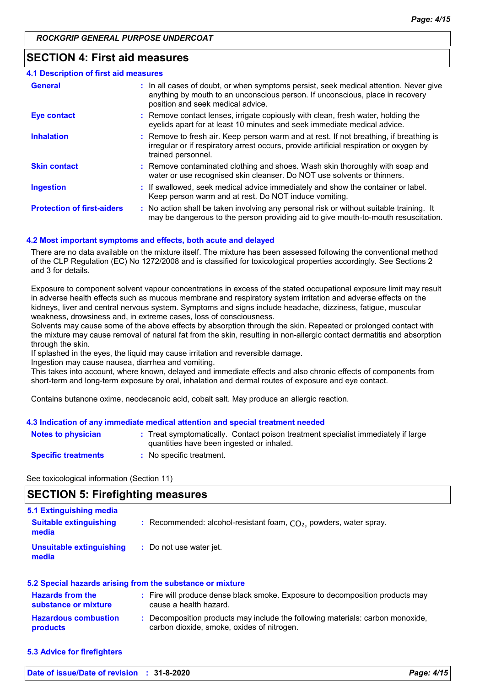## **SECTION 4: First aid measures**

| <b>4.1 Description of first aid measures</b> |                                                                                                                                                                                                             |
|----------------------------------------------|-------------------------------------------------------------------------------------------------------------------------------------------------------------------------------------------------------------|
| <b>General</b>                               | : In all cases of doubt, or when symptoms persist, seek medical attention. Never give<br>anything by mouth to an unconscious person. If unconscious, place in recovery<br>position and seek medical advice. |
| <b>Eye contact</b>                           | : Remove contact lenses, irrigate copiously with clean, fresh water, holding the<br>eyelids apart for at least 10 minutes and seek immediate medical advice.                                                |
| <b>Inhalation</b>                            | : Remove to fresh air. Keep person warm and at rest. If not breathing, if breathing is<br>irregular or if respiratory arrest occurs, provide artificial respiration or oxygen by<br>trained personnel.      |
| <b>Skin contact</b>                          | : Remove contaminated clothing and shoes. Wash skin thoroughly with soap and<br>water or use recognised skin cleanser. Do NOT use solvents or thinners.                                                     |
| <b>Ingestion</b>                             | : If swallowed, seek medical advice immediately and show the container or label.<br>Keep person warm and at rest. Do NOT induce vomiting.                                                                   |
| <b>Protection of first-aiders</b>            | : No action shall be taken involving any personal risk or without suitable training. It<br>may be dangerous to the person providing aid to give mouth-to-mouth resuscitation.                               |

#### **4.2 Most important symptoms and effects, both acute and delayed**

There are no data available on the mixture itself. The mixture has been assessed following the conventional method of the CLP Regulation (EC) No 1272/2008 and is classified for toxicological properties accordingly. See Sections 2 and 3 for details.

Exposure to component solvent vapour concentrations in excess of the stated occupational exposure limit may result in adverse health effects such as mucous membrane and respiratory system irritation and adverse effects on the kidneys, liver and central nervous system. Symptoms and signs include headache, dizziness, fatigue, muscular weakness, drowsiness and, in extreme cases, loss of consciousness.

Solvents may cause some of the above effects by absorption through the skin. Repeated or prolonged contact with the mixture may cause removal of natural fat from the skin, resulting in non-allergic contact dermatitis and absorption through the skin.

If splashed in the eyes, the liquid may cause irritation and reversible damage.

Ingestion may cause nausea, diarrhea and vomiting.

This takes into account, where known, delayed and immediate effects and also chronic effects of components from short-term and long-term exposure by oral, inhalation and dermal routes of exposure and eye contact.

Contains butanone oxime, neodecanoic acid, cobalt salt. May produce an allergic reaction.

#### **4.3 Indication of any immediate medical attention and special treatment needed**

| <b>Notes to physician</b>  | : Treat symptomatically. Contact poison treatment specialist immediately if large |
|----------------------------|-----------------------------------------------------------------------------------|
|                            | quantities have been ingested or inhaled.                                         |
| <b>Specific treatments</b> | No specific treatment.                                                            |

See toxicological information (Section 11)

## **SECTION 5: Firefighting measures**

| 5.1 Extinguishing media                |                                                                      |
|----------------------------------------|----------------------------------------------------------------------|
| <b>Suitable extinguishing</b><br>media | : Recommended: alcohol-resistant foam, $CO2$ , powders, water spray. |
| Unsuitable extinguishing<br>media      | : Do not use water jet.                                              |
|                                        |                                                                      |

| 5.2 Special hazards arising from the substance or mixture |                                                                                                                              |
|-----------------------------------------------------------|------------------------------------------------------------------------------------------------------------------------------|
| <b>Hazards from the</b><br>substance or mixture           | : Fire will produce dense black smoke. Exposure to decomposition products may<br>cause a health hazard.                      |
| <b>Hazardous combustion</b><br><b>products</b>            | : Decomposition products may include the following materials: carbon monoxide,<br>carbon dioxide, smoke, oxides of nitrogen. |

**5.3 Advice for firefighters**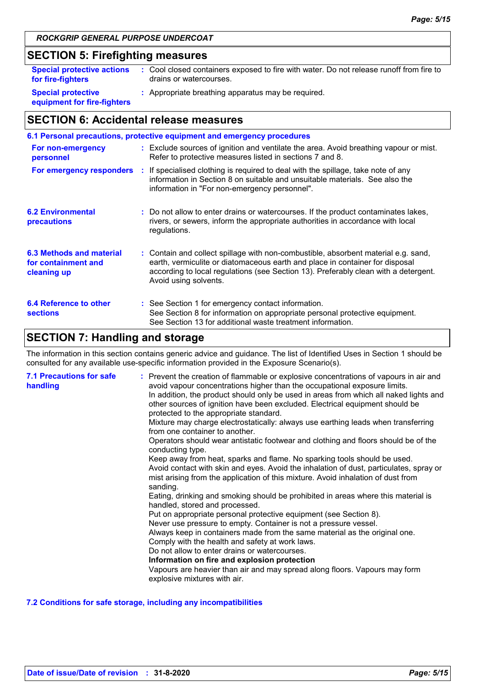## **SECTION 5: Firefighting measures**

| <b>Special protective actions</b>                        | : Cool closed containers exposed to fire with water. Do not release runoff from fire to |
|----------------------------------------------------------|-----------------------------------------------------------------------------------------|
| for fire-fighters                                        | drains or watercourses.                                                                 |
| <b>Special protective</b><br>equipment for fire-fighters | : Appropriate breathing apparatus may be required.                                      |

## **SECTION 6: Accidental release measures**

|                                                                | 6.1 Personal precautions, protective equipment and emergency procedures                                                                                                                                                                                                            |
|----------------------------------------------------------------|------------------------------------------------------------------------------------------------------------------------------------------------------------------------------------------------------------------------------------------------------------------------------------|
| For non-emergency<br>personnel                                 | : Exclude sources of ignition and ventilate the area. Avoid breathing vapour or mist.<br>Refer to protective measures listed in sections 7 and 8.                                                                                                                                  |
|                                                                | For emergency responders : If specialised clothing is required to deal with the spillage, take note of any<br>information in Section 8 on suitable and unsuitable materials. See also the<br>information in "For non-emergency personnel".                                         |
| <b>6.2 Environmental</b><br>precautions                        | : Do not allow to enter drains or watercourses. If the product contaminates lakes,<br>rivers, or sewers, inform the appropriate authorities in accordance with local<br>regulations.                                                                                               |
| 6.3 Methods and material<br>for containment and<br>cleaning up | : Contain and collect spillage with non-combustible, absorbent material e.g. sand,<br>earth, vermiculite or diatomaceous earth and place in container for disposal<br>according to local regulations (see Section 13). Preferably clean with a detergent.<br>Avoid using solvents. |
| 6.4 Reference to other<br><b>sections</b>                      | : See Section 1 for emergency contact information.<br>See Section 8 for information on appropriate personal protective equipment.<br>See Section 13 for additional waste treatment information.                                                                                    |

## **SECTION 7: Handling and storage**

The information in this section contains generic advice and guidance. The list of Identified Uses in Section 1 should be consulted for any available use-specific information provided in the Exposure Scenario(s).

| <b>7.1 Precautions for safe</b><br>handling | : Prevent the creation of flammable or explosive concentrations of vapours in air and<br>avoid vapour concentrations higher than the occupational exposure limits.<br>In addition, the product should only be used in areas from which all naked lights and<br>other sources of ignition have been excluded. Electrical equipment should be<br>protected to the appropriate standard.<br>Mixture may charge electrostatically: always use earthing leads when transferring<br>from one container to another.<br>Operators should wear antistatic footwear and clothing and floors should be of the<br>conducting type.<br>Keep away from heat, sparks and flame. No sparking tools should be used.<br>Avoid contact with skin and eyes. Avoid the inhalation of dust, particulates, spray or<br>mist arising from the application of this mixture. Avoid inhalation of dust from<br>sanding.<br>Eating, drinking and smoking should be prohibited in areas where this material is<br>handled, stored and processed.<br>Put on appropriate personal protective equipment (see Section 8).<br>Never use pressure to empty. Container is not a pressure vessel.<br>Always keep in containers made from the same material as the original one.<br>Comply with the health and safety at work laws.<br>Do not allow to enter drains or watercourses.<br>Information on fire and explosion protection<br>Vapours are heavier than air and may spread along floors. Vapours may form<br>explosive mixtures with air. |
|---------------------------------------------|--------------------------------------------------------------------------------------------------------------------------------------------------------------------------------------------------------------------------------------------------------------------------------------------------------------------------------------------------------------------------------------------------------------------------------------------------------------------------------------------------------------------------------------------------------------------------------------------------------------------------------------------------------------------------------------------------------------------------------------------------------------------------------------------------------------------------------------------------------------------------------------------------------------------------------------------------------------------------------------------------------------------------------------------------------------------------------------------------------------------------------------------------------------------------------------------------------------------------------------------------------------------------------------------------------------------------------------------------------------------------------------------------------------------------------------------------------------------------------------------------------------|
|---------------------------------------------|--------------------------------------------------------------------------------------------------------------------------------------------------------------------------------------------------------------------------------------------------------------------------------------------------------------------------------------------------------------------------------------------------------------------------------------------------------------------------------------------------------------------------------------------------------------------------------------------------------------------------------------------------------------------------------------------------------------------------------------------------------------------------------------------------------------------------------------------------------------------------------------------------------------------------------------------------------------------------------------------------------------------------------------------------------------------------------------------------------------------------------------------------------------------------------------------------------------------------------------------------------------------------------------------------------------------------------------------------------------------------------------------------------------------------------------------------------------------------------------------------------------|

#### **7.2 Conditions for safe storage, including any incompatibilities**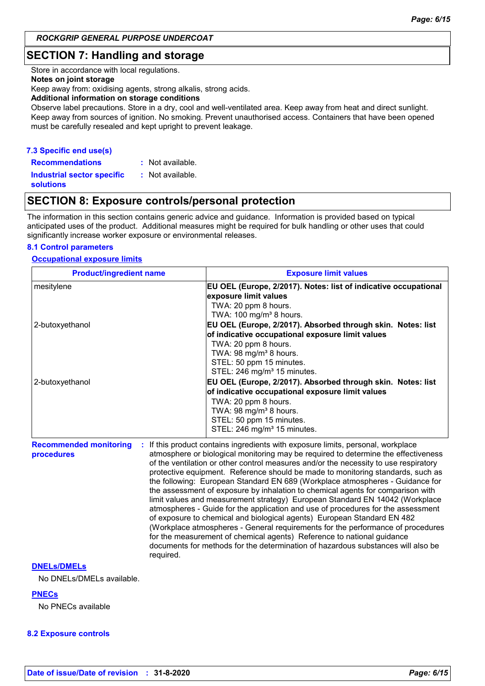## **SECTION 7: Handling and storage**

Store in accordance with local regulations.

#### **Notes on joint storage**

Keep away from: oxidising agents, strong alkalis, strong acids.

#### **Additional information on storage conditions**

Observe label precautions. Store in a dry, cool and well-ventilated area. Keep away from heat and direct sunlight. Keep away from sources of ignition. No smoking. Prevent unauthorised access. Containers that have been opened must be carefully resealed and kept upright to prevent leakage.

#### **7.3 Specific end use(s)**

**Recommendations : Industrial sector specific : solutions** : Not available. : Not available.

## **SECTION 8: Exposure controls/personal protection**

The information in this section contains generic advice and guidance. Information is provided based on typical anticipated uses of the product. Additional measures might be required for bulk handling or other uses that could significantly increase worker exposure or environmental releases.

#### **8.1 Control parameters**

#### **Occupational exposure limits**

| <b>Product/ingredient name</b>                           | <b>Exposure limit values</b>                                                                                                                                                                                                                                                                                                                                                                                                                                                                                                                                                                                                                                                                                                                                                                                                                                                                                                                                                                                        |
|----------------------------------------------------------|---------------------------------------------------------------------------------------------------------------------------------------------------------------------------------------------------------------------------------------------------------------------------------------------------------------------------------------------------------------------------------------------------------------------------------------------------------------------------------------------------------------------------------------------------------------------------------------------------------------------------------------------------------------------------------------------------------------------------------------------------------------------------------------------------------------------------------------------------------------------------------------------------------------------------------------------------------------------------------------------------------------------|
| mesitylene                                               | EU OEL (Europe, 2/2017). Notes: list of indicative occupational<br>exposure limit values<br>TWA: 20 ppm 8 hours.<br>TWA: 100 mg/m <sup>3</sup> 8 hours.                                                                                                                                                                                                                                                                                                                                                                                                                                                                                                                                                                                                                                                                                                                                                                                                                                                             |
| 2-butoxyethanol                                          | EU OEL (Europe, 2/2017). Absorbed through skin. Notes: list<br>of indicative occupational exposure limit values<br>TWA: 20 ppm 8 hours.<br>TWA: 98 mg/m <sup>3</sup> 8 hours.<br>STEL: 50 ppm 15 minutes.<br>STEL: 246 mg/m <sup>3</sup> 15 minutes.                                                                                                                                                                                                                                                                                                                                                                                                                                                                                                                                                                                                                                                                                                                                                                |
| 2-butoxyethanol                                          | EU OEL (Europe, 2/2017). Absorbed through skin. Notes: list<br>of indicative occupational exposure limit values<br>TWA: 20 ppm 8 hours.<br>TWA: 98 mg/m <sup>3</sup> 8 hours.<br>STEL: 50 ppm 15 minutes.<br>STEL: 246 mg/m <sup>3</sup> 15 minutes.                                                                                                                                                                                                                                                                                                                                                                                                                                                                                                                                                                                                                                                                                                                                                                |
| <b>Recommended monitoring</b><br>procedures<br>required. | If this product contains ingredients with exposure limits, personal, workplace<br>atmosphere or biological monitoring may be required to determine the effectiveness<br>of the ventilation or other control measures and/or the necessity to use respiratory<br>protective equipment. Reference should be made to monitoring standards, such as<br>the following: European Standard EN 689 (Workplace atmospheres - Guidance for<br>the assessment of exposure by inhalation to chemical agents for comparison with<br>limit values and measurement strategy) European Standard EN 14042 (Workplace<br>atmospheres - Guide for the application and use of procedures for the assessment<br>of exposure to chemical and biological agents) European Standard EN 482<br>(Workplace atmospheres - General requirements for the performance of procedures<br>for the measurement of chemical agents) Reference to national guidance<br>documents for methods for the determination of hazardous substances will also be |

#### **DNELs/DMELs**

No DNELs/DMELs available.

#### **PNECs**

No PNECs available

#### **8.2 Exposure controls**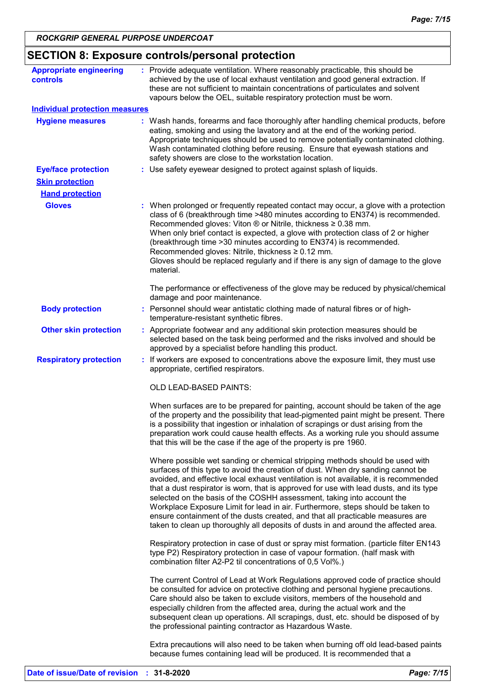| <b>Appropriate engineering</b>        | : Provide adequate ventilation. Where reasonably practicable, this should be                                                                                                                                                                                                                                                                                                                                                                                                                                                                                                                                                                                                            |
|---------------------------------------|-----------------------------------------------------------------------------------------------------------------------------------------------------------------------------------------------------------------------------------------------------------------------------------------------------------------------------------------------------------------------------------------------------------------------------------------------------------------------------------------------------------------------------------------------------------------------------------------------------------------------------------------------------------------------------------------|
| controls                              | achieved by the use of local exhaust ventilation and good general extraction. If<br>these are not sufficient to maintain concentrations of particulates and solvent<br>vapours below the OEL, suitable respiratory protection must be worn.                                                                                                                                                                                                                                                                                                                                                                                                                                             |
| <b>Individual protection measures</b> |                                                                                                                                                                                                                                                                                                                                                                                                                                                                                                                                                                                                                                                                                         |
| <b>Hygiene measures</b>               | : Wash hands, forearms and face thoroughly after handling chemical products, before<br>eating, smoking and using the lavatory and at the end of the working period.<br>Appropriate techniques should be used to remove potentially contaminated clothing.<br>Wash contaminated clothing before reusing. Ensure that eyewash stations and<br>safety showers are close to the workstation location.                                                                                                                                                                                                                                                                                       |
| <b>Eye/face protection</b>            | : Use safety eyewear designed to protect against splash of liquids.                                                                                                                                                                                                                                                                                                                                                                                                                                                                                                                                                                                                                     |
| <b>Skin protection</b>                |                                                                                                                                                                                                                                                                                                                                                                                                                                                                                                                                                                                                                                                                                         |
| <b>Hand protection</b>                |                                                                                                                                                                                                                                                                                                                                                                                                                                                                                                                                                                                                                                                                                         |
| <b>Gloves</b>                         | : When prolonged or frequently repeated contact may occur, a glove with a protection<br>class of 6 (breakthrough time >480 minutes according to EN374) is recommended.<br>Recommended gloves: Viton $\circledR$ or Nitrile, thickness $\geq 0.38$ mm.<br>When only brief contact is expected, a glove with protection class of 2 or higher<br>(breakthrough time > 30 minutes according to EN374) is recommended.<br>Recommended gloves: Nitrile, thickness ≥ 0.12 mm.<br>Gloves should be replaced regularly and if there is any sign of damage to the glove<br>material.                                                                                                              |
|                                       | The performance or effectiveness of the glove may be reduced by physical/chemical<br>damage and poor maintenance.                                                                                                                                                                                                                                                                                                                                                                                                                                                                                                                                                                       |
| <b>Body protection</b>                | : Personnel should wear antistatic clothing made of natural fibres or of high-<br>temperature-resistant synthetic fibres.                                                                                                                                                                                                                                                                                                                                                                                                                                                                                                                                                               |
| <b>Other skin protection</b>          | : Appropriate footwear and any additional skin protection measures should be<br>selected based on the task being performed and the risks involved and should be<br>approved by a specialist before handling this product.                                                                                                                                                                                                                                                                                                                                                                                                                                                               |
| <b>Respiratory protection</b>         | : If workers are exposed to concentrations above the exposure limit, they must use<br>appropriate, certified respirators.                                                                                                                                                                                                                                                                                                                                                                                                                                                                                                                                                               |
|                                       | OLD LEAD-BASED PAINTS:                                                                                                                                                                                                                                                                                                                                                                                                                                                                                                                                                                                                                                                                  |
|                                       | When surfaces are to be prepared for painting, account should be taken of the age<br>of the property and the possibility that lead-pigmented paint might be present. There<br>is a possibility that ingestion or inhalation of scrapings or dust arising from the<br>preparation work could cause health effects. As a working rule you should assume<br>that this will be the case if the age of the property is pre 1960.                                                                                                                                                                                                                                                             |
|                                       | Where possible wet sanding or chemical stripping methods should be used with<br>surfaces of this type to avoid the creation of dust. When dry sanding cannot be<br>avoided, and effective local exhaust ventilation is not available, it is recommended<br>that a dust respirator is worn, that is approved for use with lead dusts, and its type<br>selected on the basis of the COSHH assessment, taking into account the<br>Workplace Exposure Limit for lead in air. Furthermore, steps should be taken to<br>ensure containment of the dusts created, and that all practicable measures are<br>taken to clean up thoroughly all deposits of dusts in and around the affected area. |
|                                       | Respiratory protection in case of dust or spray mist formation. (particle filter EN143<br>type P2) Respiratory protection in case of vapour formation. (half mask with<br>combination filter A2-P2 til concentrations of 0,5 Vol%.)                                                                                                                                                                                                                                                                                                                                                                                                                                                     |
|                                       | The current Control of Lead at Work Regulations approved code of practice should<br>be consulted for advice on protective clothing and personal hygiene precautions.<br>Care should also be taken to exclude visitors, members of the household and<br>especially children from the affected area, during the actual work and the<br>subsequent clean up operations. All scrapings, dust, etc. should be disposed of by<br>the professional painting contractor as Hazardous Waste.                                                                                                                                                                                                     |
|                                       | Extra precautions will also need to be taken when burning off old lead-based paints<br>because fumes containing lead will be produced. It is recommended that a                                                                                                                                                                                                                                                                                                                                                                                                                                                                                                                         |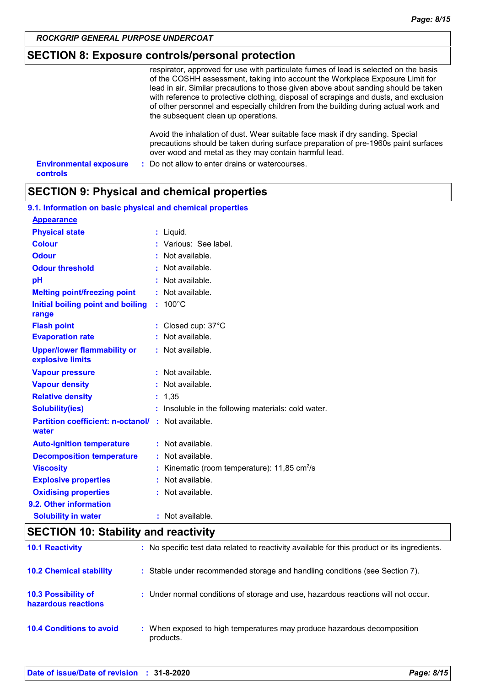## **SECTION 8: Exposure controls/personal protection**

|                                                  | respirator, approved for use with particulate fumes of lead is selected on the basis<br>of the COSHH assessment, taking into account the Workplace Exposure Limit for<br>lead in air. Similar precautions to those given above about sanding should be taken<br>with reference to protective clothing, disposal of scrapings and dusts, and exclusion<br>of other personnel and especially children from the building during actual work and<br>the subsequent clean up operations. |
|--------------------------------------------------|-------------------------------------------------------------------------------------------------------------------------------------------------------------------------------------------------------------------------------------------------------------------------------------------------------------------------------------------------------------------------------------------------------------------------------------------------------------------------------------|
|                                                  | Avoid the inhalation of dust. Wear suitable face mask if dry sanding. Special<br>precautions should be taken during surface preparation of pre-1960s paint surfaces<br>over wood and metal as they may contain harmful lead.                                                                                                                                                                                                                                                        |
| <b>Environmental exposure</b><br><b>controls</b> | : Do not allow to enter drains or watercourses.                                                                                                                                                                                                                                                                                                                                                                                                                                     |

## **SECTION 9: Physical and chemical properties**

|                                                                    |   | 9.1. Information on basic physical and chemical properties |  |  |  |  |
|--------------------------------------------------------------------|---|------------------------------------------------------------|--|--|--|--|
| <b>Appearance</b>                                                  |   |                                                            |  |  |  |  |
| <b>Physical state</b>                                              |   | : Liquid.                                                  |  |  |  |  |
| <b>Colour</b>                                                      |   | Various: See label.                                        |  |  |  |  |
| <b>Odour</b>                                                       |   | : Not available.                                           |  |  |  |  |
| <b>Odour threshold</b>                                             |   | Not available.                                             |  |  |  |  |
| pH                                                                 |   | Not available.                                             |  |  |  |  |
| <b>Melting point/freezing point</b>                                |   | $:$ Not available.                                         |  |  |  |  |
| Initial boiling point and boiling<br>range                         |   | $: 100^{\circ}$ C                                          |  |  |  |  |
| <b>Flash point</b>                                                 |   | : Closed cup: $37^{\circ}$ C                               |  |  |  |  |
| <b>Evaporation rate</b>                                            |   | Not available.                                             |  |  |  |  |
| <b>Upper/lower flammability or</b><br>explosive limits             |   | : Not available.                                           |  |  |  |  |
| <b>Vapour pressure</b>                                             |   | : Not available.                                           |  |  |  |  |
| <b>Vapour density</b>                                              |   | : Not available.                                           |  |  |  |  |
| <b>Relative density</b>                                            |   | : 1,35                                                     |  |  |  |  |
| <b>Solubility(ies)</b>                                             |   | : Insoluble in the following materials: cold water.        |  |  |  |  |
| <b>Partition coefficient: n-octanol/ : Not available.</b><br>water |   |                                                            |  |  |  |  |
| <b>Auto-ignition temperature</b>                                   |   | : Not available.                                           |  |  |  |  |
| <b>Decomposition temperature</b>                                   |   | Not available.                                             |  |  |  |  |
| <b>Viscosity</b>                                                   |   | Kinematic (room temperature): $11,85$ cm <sup>2</sup> /s   |  |  |  |  |
| <b>Explosive properties</b>                                        | ÷ | Not available.                                             |  |  |  |  |
| <b>Oxidising properties</b>                                        |   | : Not available.                                           |  |  |  |  |
| 9.2. Other information                                             |   |                                                            |  |  |  |  |
| <b>Solubility in water</b>                                         |   | : Not available.                                           |  |  |  |  |

| <b>SECTION 10: Stability and reactivity</b>       |                                                                                              |  |
|---------------------------------------------------|----------------------------------------------------------------------------------------------|--|
| <b>10.1 Reactivity</b>                            | : No specific test data related to reactivity available for this product or its ingredients. |  |
| <b>10.2 Chemical stability</b>                    | : Stable under recommended storage and handling conditions (see Section 7).                  |  |
| <b>10.3 Possibility of</b><br>hazardous reactions | : Under normal conditions of storage and use, hazardous reactions will not occur.            |  |
| <b>10.4 Conditions to avoid</b>                   | : When exposed to high temperatures may produce hazardous decomposition<br>products.         |  |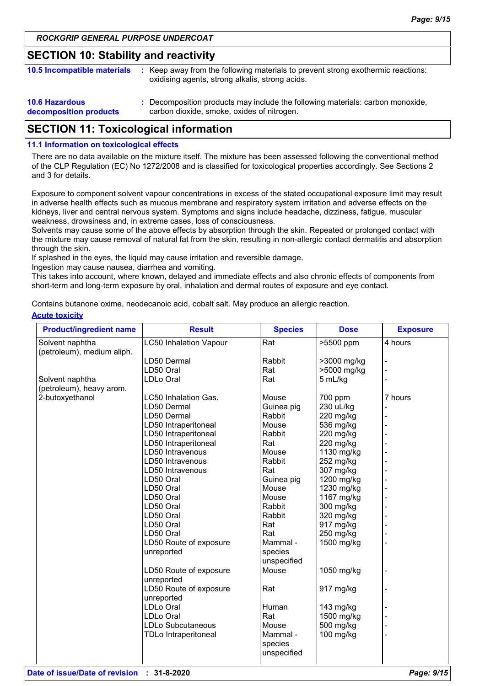### **SECTION 10: Stability and reactivity**

| <b>10.5 Incompatible materials</b>              | Keep away from the following materials to prevent strong exothermic reactions:<br>oxidising agents, strong alkalis, strong acids. |
|-------------------------------------------------|-----------------------------------------------------------------------------------------------------------------------------------|
| <b>10.6 Hazardous</b><br>decomposition products | : Decomposition products may include the following materials: carbon monoxide,<br>carbon dioxide, smoke, oxides of nitrogen.      |

## **SECTION 11: Toxicological information**

#### **11.1 Information on toxicological effects**

There are no data available on the mixture itself. The mixture has been assessed following the conventional method of the CLP Regulation (EC) No 1272/2008 and is classified for toxicological properties accordingly. See Sections 2 and 3 for details.

Exposure to component solvent vapour concentrations in excess of the stated occupational exposure limit may result in adverse health effects such as mucous membrane and respiratory system irritation and adverse effects on the kidneys, liver and central nervous system. Symptoms and signs include headache, dizziness, fatigue, muscular weakness, drowsiness and, in extreme cases, loss of consciousness.

Solvents may cause some of the above effects by absorption through the skin. Repeated or prolonged contact with the mixture may cause removal of natural fat from the skin, resulting in non-allergic contact dermatitis and absorption through the skin.

If splashed in the eyes, the liquid may cause irritation and reversible damage.

Ingestion may cause nausea, diarrhea and vomiting.

This takes into account, where known, delayed and immediate effects and also chronic effects of components from short-term and long-term exposure by oral, inhalation and dermal routes of exposure and eye contact.

Contains butanone oxime, neodecanoic acid, cobalt salt. May produce an allergic reaction.

#### **Acute toxicity**

| <b>Product/ingredient name</b> | <b>Result</b>                 | <b>Species</b> | <b>Dose</b> | <b>Exposure</b> |
|--------------------------------|-------------------------------|----------------|-------------|-----------------|
| Solvent naphtha                | <b>LC50 Inhalation Vapour</b> | Rat            | >5500 ppm   | 4 hours         |
| (petroleum), medium aliph.     |                               |                |             |                 |
|                                | LD50 Dermal                   | Rabbit         | >3000 mg/kg |                 |
|                                | LD50 Oral                     | Rat            | >5000 mg/kg |                 |
| Solvent naphtha                | <b>LDLo Oral</b>              | Rat            | 5 mL/kg     |                 |
| (petroleum), heavy arom.       |                               |                |             |                 |
| 2-butoxyethanol                | LC50 Inhalation Gas.          | Mouse          | 700 ppm     | 7 hours         |
|                                | LD50 Dermal                   | Guinea pig     | 230 uL/kg   |                 |
|                                | LD50 Dermal                   | Rabbit         | 220 mg/kg   |                 |
|                                | LD50 Intraperitoneal          | Mouse          | 536 mg/kg   |                 |
|                                | LD50 Intraperitoneal          | Rabbit         | 220 mg/kg   |                 |
|                                | LD50 Intraperitoneal          | Rat            | 220 mg/kg   |                 |
|                                | LD50 Intravenous              | Mouse          | 1130 mg/kg  |                 |
|                                | LD50 Intravenous              | Rabbit         | 252 mg/kg   |                 |
|                                | LD50 Intravenous              | Rat            | 307 mg/kg   |                 |
|                                | LD50 Oral                     | Guinea pig     | 1200 mg/kg  |                 |
|                                | LD50 Oral                     | Mouse          | 1230 mg/kg  |                 |
|                                | LD50 Oral                     | Mouse          | 1167 mg/kg  |                 |
|                                | LD50 Oral                     | Rabbit         | 300 mg/kg   |                 |
|                                | LD50 Oral                     | Rabbit         | 320 mg/kg   |                 |
|                                | LD50 Oral                     | Rat            | 917 mg/kg   |                 |
|                                | LD50 Oral                     | Rat            | 250 mg/kg   |                 |
|                                | LD50 Route of exposure        | Mammal -       | 1500 mg/kg  |                 |
|                                | unreported                    | species        |             |                 |
|                                |                               | unspecified    |             |                 |
|                                | LD50 Route of exposure        | Mouse          | 1050 mg/kg  |                 |
|                                | unreported                    |                |             |                 |
|                                | LD50 Route of exposure        | Rat            | 917 mg/kg   |                 |
|                                | unreported                    |                |             |                 |
|                                | <b>LDLo Oral</b>              | Human          | 143 mg/kg   |                 |
|                                | <b>LDLo Oral</b>              | Rat            | 1500 mg/kg  |                 |
|                                | <b>LDLo Subcutaneous</b>      | Mouse          | 500 mg/kg   |                 |
|                                | <b>TDLo Intraperitoneal</b>   | Mammal -       | 100 mg/kg   |                 |
|                                |                               | species        |             |                 |
|                                |                               | unspecified    |             |                 |
|                                |                               |                |             |                 |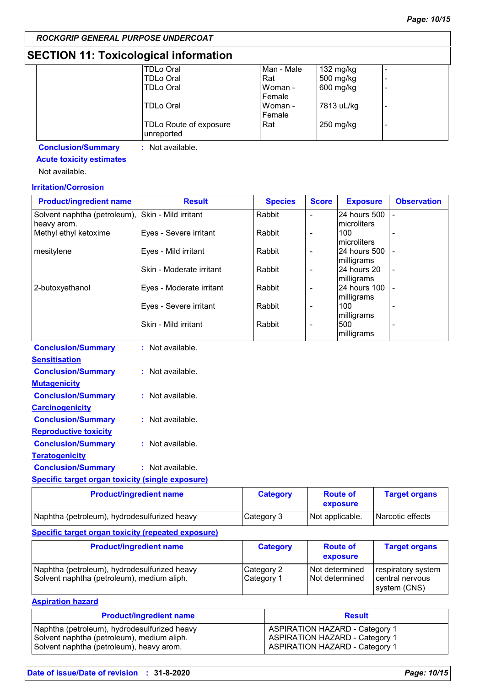## **SECTION 11: Toxicological information**

| <b>TDLo Oral</b>       | Man - Male | 132 mg/kg  |   |
|------------------------|------------|------------|---|
| <b>TDLo Oral</b>       | Rat        | 500 mg/kg  |   |
| <b>TDLo Oral</b>       | Woman -    | 600 mg/kg  | - |
|                        | Female     |            |   |
| TDLo Oral              | Woman -    | 7813 uL/kg | - |
|                        | Female     |            |   |
| TDLo Route of exposure | Rat        | 250 mg/kg  | - |
| unreported             |            |            |   |
|                        |            |            |   |

**Conclusion/Summary :** Not available.

## **Acute toxicity estimates**

Not available.

### **Irritation/Corrosion**

| <b>Product/ingredient name</b>                          | <b>Result</b>            | <b>Species</b> | <b>Score</b> | <b>Exposure</b>    | <b>Observation</b> |
|---------------------------------------------------------|--------------------------|----------------|--------------|--------------------|--------------------|
| Solvent naphtha (petroleum),                            | Skin - Mild irritant     | Rabbit         |              | 24 hours 500       |                    |
| heavy arom.                                             |                          |                |              | microliters        |                    |
| Methyl ethyl ketoxime                                   | Eyes - Severe irritant   | Rabbit         |              | 100<br>microliters |                    |
| mesitylene                                              | Eyes - Mild irritant     | Rabbit         | -            | 24 hours 500       |                    |
|                                                         |                          |                |              | milligrams         |                    |
|                                                         | Skin - Moderate irritant | Rabbit         | -            | 24 hours 20        |                    |
|                                                         |                          |                |              | milligrams         |                    |
| 2-butoxyethanol                                         | Eyes - Moderate irritant | Rabbit         | -            | 24 hours 100       |                    |
|                                                         |                          |                |              | milligrams         |                    |
|                                                         | Eyes - Severe irritant   | Rabbit         | -            | 100<br>milligrams  |                    |
|                                                         | Skin - Mild irritant     | Rabbit         | -            | 500                |                    |
|                                                         |                          |                |              | milligrams         |                    |
| <b>Conclusion/Summary</b>                               | : Not available.         |                |              |                    |                    |
| <b>Sensitisation</b>                                    |                          |                |              |                    |                    |
| <b>Conclusion/Summary</b>                               | : Not available.         |                |              |                    |                    |
| <b>Mutagenicity</b>                                     |                          |                |              |                    |                    |
| <b>Conclusion/Summary</b>                               | : Not available.         |                |              |                    |                    |
| <b>Carcinogenicity</b>                                  |                          |                |              |                    |                    |
| <b>Conclusion/Summary</b>                               | : Not available.         |                |              |                    |                    |
| <b>Reproductive toxicity</b>                            |                          |                |              |                    |                    |
| <b>Conclusion/Summary</b>                               | : Not available.         |                |              |                    |                    |
| <b>Teratogenicity</b>                                   |                          |                |              |                    |                    |
| <b>Conclusion/Summary</b>                               | : Not available.         |                |              |                    |                    |
| <b>Specific target organ toxicity (single exposure)</b> |                          |                |              |                    |                    |
|                                                         |                          |                |              |                    |                    |

| <b>Product/ingredient name</b>               | <b>Category</b> | <b>Route of</b><br>exposure | <b>Target organs</b> |
|----------------------------------------------|-----------------|-----------------------------|----------------------|
| Naphtha (petroleum), hydrodesulfurized heavy | Category 3      | Not applicable.             | Narcotic effects     |

#### **Specific target organ toxicity (repeated exposure)**

| <b>Product/ingredient name</b>                                                             | <b>Category</b>          | <b>Route of</b><br>exposure      | <b>Target organs</b>                                  |
|--------------------------------------------------------------------------------------------|--------------------------|----------------------------------|-------------------------------------------------------|
| Naphtha (petroleum), hydrodesulfurized heavy<br>Solvent naphtha (petroleum), medium aliph. | Category 2<br>Category 1 | Not determined<br>Not determined | respiratory system<br>central nervous<br>system (CNS) |

**Aspiration hazard**

| <b>Product/ingredient name</b>               | <b>Result</b>                         |
|----------------------------------------------|---------------------------------------|
| Naphtha (petroleum), hydrodesulfurized heavy | <b>ASPIRATION HAZARD - Category 1</b> |
| Solvent naphtha (petroleum), medium aliph.   | <b>ASPIRATION HAZARD - Category 1</b> |
| Solvent naphtha (petroleum), heavy arom.     | <b>ASPIRATION HAZARD - Category 1</b> |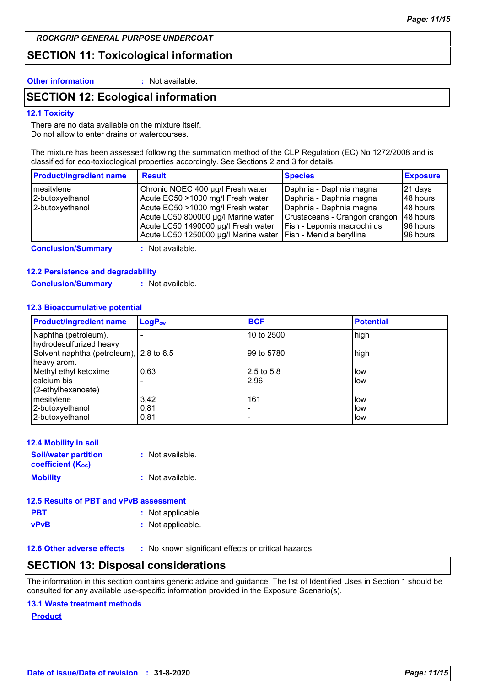### **SECTION 11: Toxicological information**

**Other information :** Not available.

## **SECTION 12: Ecological information**

#### **12.1 Toxicity**

There are no data available on the mixture itself. Do not allow to enter drains or watercourses.

The mixture has been assessed following the summation method of the CLP Regulation (EC) No 1272/2008 and is classified for eco-toxicological properties accordingly. See Sections 2 and 3 for details.

| <b>Product/ingredient name</b> | <b>Result</b>                        | <b>Species</b>                | <b>Exposure</b> |
|--------------------------------|--------------------------------------|-------------------------------|-----------------|
| mesitylene                     | Chronic NOEC 400 µg/l Fresh water    | Daphnia - Daphnia magna       | 21 days         |
| 2-butoxyethanol                | Acute EC50 >1000 mg/l Fresh water    | Daphnia - Daphnia magna       | 48 hours        |
| 2-butoxyethanol                | Acute EC50 >1000 mg/l Fresh water    | Daphnia - Daphnia magna       | 48 hours        |
|                                | Acute LC50 800000 µg/l Marine water  | Crustaceans - Crangon crangon | 48 hours        |
|                                | Acute LC50 1490000 µg/l Fresh water  | Fish - Lepomis macrochirus    | 196 hours       |
|                                | Acute LC50 1250000 µg/l Marine water | Fish - Menidia beryllina      | 96 hours        |

**Conclusion/Summary :** Not available.

#### **12.2 Persistence and degradability**

**Conclusion/Summary :** Not available.

#### **12.3 Bioaccumulative potential**

| <b>Product/ingredient name</b>                         | LogP <sub>ow</sub> | <b>BCF</b>  | <b>Potential</b> |
|--------------------------------------------------------|--------------------|-------------|------------------|
| Naphtha (petroleum),<br>hydrodesulfurized heavy        |                    | 10 to 2500  | high             |
| Solvent naphtha (petroleum), 2.8 to 6.5<br>heavy arom. |                    | 199 to 5780 | high             |
| Methyl ethyl ketoxime                                  | 0,63               | l2.5 to 5.8 | low              |
| calcium bis                                            |                    | 2,96        | low              |
| (2-ethylhexanoate)                                     |                    |             |                  |
| mesitylene                                             | 3,42               | 161         | low              |
| 2-butoxyethanol                                        | 0,81               |             | low              |
| 2-butoxyethanol                                        | 0,81               |             | low              |

| <b>12.4 Mobility in soil</b>                            |                  |
|---------------------------------------------------------|------------------|
| <b>Soil/water partition</b><br><b>coefficient (Koc)</b> | : Not available. |
| <b>Mobility</b>                                         | : Not available. |

| 12.5 Results of PBT and vPvB assessment |                   |  |
|-----------------------------------------|-------------------|--|
| <b>PBT</b>                              | : Not applicable. |  |
| vPvB                                    | : Not applicable. |  |

**12.6 Other adverse effects** : No known significant effects or critical hazards.

## **SECTION 13: Disposal considerations**

The information in this section contains generic advice and guidance. The list of Identified Uses in Section 1 should be consulted for any available use-specific information provided in the Exposure Scenario(s).

#### **13.1 Waste treatment methods**

**Product**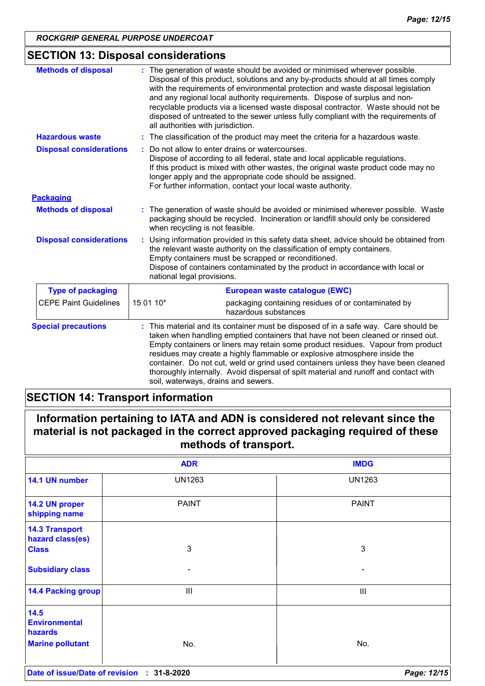## **SECTION 13: Disposal considerations**

| <b>Methods of disposal</b>     | The generation of waste should be avoided or minimised wherever possible.<br>Disposal of this product, solutions and any by-products should at all times comply<br>with the requirements of environmental protection and waste disposal legislation<br>and any regional local authority requirements. Dispose of surplus and non-<br>recyclable products via a licensed waste disposal contractor. Waste should not be<br>disposed of untreated to the sewer unless fully compliant with the requirements of<br>all authorities with jurisdiction.          |  |
|--------------------------------|-------------------------------------------------------------------------------------------------------------------------------------------------------------------------------------------------------------------------------------------------------------------------------------------------------------------------------------------------------------------------------------------------------------------------------------------------------------------------------------------------------------------------------------------------------------|--|
| <b>Hazardous waste</b>         | The classification of the product may meet the criteria for a hazardous waste.<br>÷.                                                                                                                                                                                                                                                                                                                                                                                                                                                                        |  |
| <b>Disposal considerations</b> | Do not allow to enter drains or watercourses.<br>Dispose of according to all federal, state and local applicable regulations.<br>If this product is mixed with other wastes, the original waste product code may no<br>longer apply and the appropriate code should be assigned.<br>For further information, contact your local waste authority.                                                                                                                                                                                                            |  |
| <b>Packaging</b>               |                                                                                                                                                                                                                                                                                                                                                                                                                                                                                                                                                             |  |
| <b>Methods of disposal</b>     | The generation of waste should be avoided or minimised wherever possible. Waste<br>packaging should be recycled. Incineration or landfill should only be considered<br>when recycling is not feasible.                                                                                                                                                                                                                                                                                                                                                      |  |
| <b>Disposal considerations</b> | Using information provided in this safety data sheet, advice should be obtained from<br>the relevant waste authority on the classification of empty containers.<br>Empty containers must be scrapped or reconditioned.<br>Dispose of containers contaminated by the product in accordance with local or<br>national legal provisions.                                                                                                                                                                                                                       |  |
| <b>Type of packaging</b>       | European waste catalogue (EWC)                                                                                                                                                                                                                                                                                                                                                                                                                                                                                                                              |  |
| <b>CEPE Paint Guidelines</b>   | 15 01 10*<br>packaging containing residues of or contaminated by<br>hazardous substances                                                                                                                                                                                                                                                                                                                                                                                                                                                                    |  |
| <b>Special precautions</b>     | This material and its container must be disposed of in a safe way. Care should be<br>taken when handling emptied containers that have not been cleaned or rinsed out.<br>Empty containers or liners may retain some product residues. Vapour from product<br>residues may create a highly flammable or explosive atmosphere inside the<br>container. Do not cut, weld or grind used containers unless they have been cleaned<br>thoroughly internally. Avoid dispersal of spilt material and runoff and contact with<br>soil, waterways, drains and sewers. |  |

## **SECTION 14: Transport information**

| Information pertaining to IATA and ADN is considered not relevant since the  |  |
|------------------------------------------------------------------------------|--|
| material is not packaged in the correct approved packaging required of these |  |
| methods of transport.                                                        |  |

|                                           | <b>ADR</b>      | <b>IMDG</b>    |
|-------------------------------------------|-----------------|----------------|
| 14.1 UN number                            | <b>UN1263</b>   | <b>UN1263</b>  |
| 14.2 UN proper<br>shipping name           | <b>PAINT</b>    | <b>PAINT</b>   |
| <b>14.3 Transport</b><br>hazard class(es) |                 |                |
| <b>Class</b>                              | 3               | 3              |
| <b>Subsidiary class</b>                   | -               | -              |
| <b>14.4 Packing group</b>                 | $\mathbf{III}$  | $\mathbf{III}$ |
| 14.5<br><b>Environmental</b><br>hazards   |                 |                |
| <b>Marine pollutant</b>                   | No.             | No.            |
| Date of issue/Date of revision            | 31-8-2020<br>÷. | Page: 12/15    |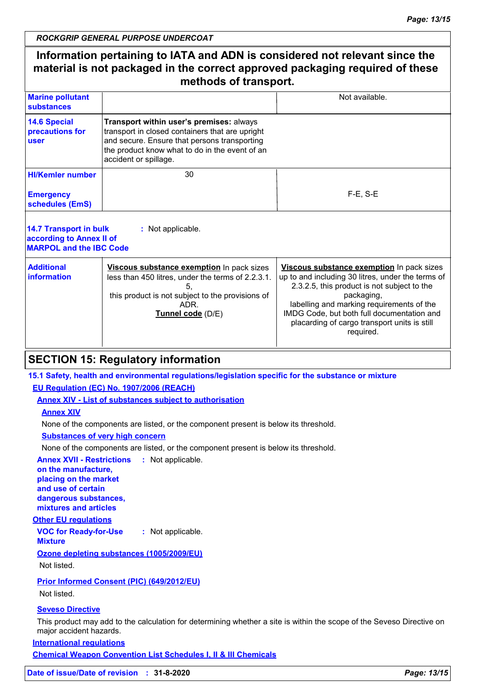## **Information pertaining to IATA and ADN is considered not relevant since the material is not packaged in the correct approved packaging required of these methods of transport.**

| <b>Marine pollutant</b><br>substances          |                                                                                                                                                                                                                        | Not available. |
|------------------------------------------------|------------------------------------------------------------------------------------------------------------------------------------------------------------------------------------------------------------------------|----------------|
| 14.6 Special<br>precautions for<br><b>user</b> | Transport within user's premises: always<br>transport in closed containers that are upright<br>and secure. Ensure that persons transporting<br>the product know what to do in the event of an<br>accident or spillage. |                |
| <b>HI/Kemler number</b>                        | 30                                                                                                                                                                                                                     |                |
| <b>Emergency</b><br>schedules (EmS)            |                                                                                                                                                                                                                        | $F-E$ , S-E    |
|                                                |                                                                                                                                                                                                                        |                |

| 14.7 Transport in bulk<br>according to Annex II of<br><b>MARPOL and the IBC Code</b> | : Not applicable.                                                                                                                                                               |                                                                                                                                                                                                                                                                                                                     |
|--------------------------------------------------------------------------------------|---------------------------------------------------------------------------------------------------------------------------------------------------------------------------------|---------------------------------------------------------------------------------------------------------------------------------------------------------------------------------------------------------------------------------------------------------------------------------------------------------------------|
| <b>Additional</b><br>information                                                     | Viscous substance exemption In pack sizes<br>less than 450 litres, under the terms of 2.2.3.1.<br>this product is not subject to the provisions of<br>ADR.<br>Tunnel code (D/E) | Viscous substance exemption In pack sizes<br>up to and including 30 litres, under the terms of<br>2.3.2.5, this product is not subject to the<br>packaging,<br>labelling and marking requirements of the<br>IMDG Code, but both full documentation and<br>placarding of cargo transport units is still<br>required. |

## **SECTION 15: Regulatory information**

#### **15.1 Safety, health and environmental regulations/legislation specific for the substance or mixture**

#### **EU Regulation (EC) No. 1907/2006 (REACH)**

**Annex XIV - List of substances subject to authorisation**

#### **Annex XIV**

None of the components are listed, or the component present is below its threshold.

#### **Substances of very high concern**

None of the components are listed, or the component present is below its threshold.

**Annex XVII - Restrictions :** Not applicable. **on the manufacture,**

**placing on the market and use of certain dangerous substances, mixtures and articles**

#### **Other EU regulations**

**VOC for Ready-for-Use Mixture :** Not applicable.

#### **Ozone depleting substances (1005/2009/EU)**

Not listed.

#### **Prior Informed Consent (PIC) (649/2012/EU)**

Not listed.

#### **Seveso Directive**

This product may add to the calculation for determining whether a site is within the scope of the Seveso Directive on major accident hazards.

**International regulations**

**Chemical Weapon Convention List Schedules I, II & III Chemicals**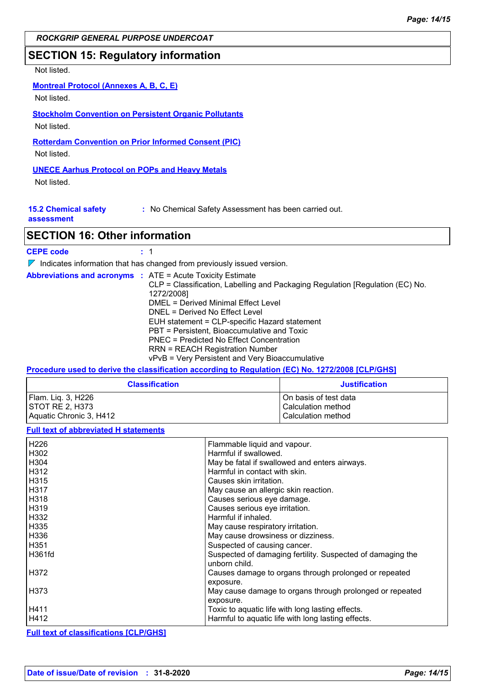## **SECTION 15: Regulatory information**

#### Not listed.

#### **Montreal Protocol (Annexes A, B, C, E)**

Not listed.

## **Stockholm Convention on Persistent Organic Pollutants**

Not listed.

## **Rotterdam Convention on Prior Informed Consent (PIC)**

Not listed.

## **UNECE Aarhus Protocol on POPs and Heavy Metals**

Not listed.

| <b>15.2 Chemical safety</b> | : No Chemical Safety Assessment has been carried out. |
|-----------------------------|-------------------------------------------------------|
|-----------------------------|-------------------------------------------------------|

#### **assessment**

## **SECTION 16: Other information**

| <b>CEPE code</b> |  |
|------------------|--|
|------------------|--|

 $\nabla$  Indicates information that has changed from previously issued version.

| <b>Abbreviations and acronyms : ATE = Acute Toxicity Estimate</b> |  | CLP = Classification, Labelling and Packaging Regulation [Regulation (EC) No.<br>1272/2008]<br>DMEL = Derived Minimal Effect Level<br>DNEL = Derived No Effect Level<br>EUH statement = CLP-specific Hazard statement |
|-------------------------------------------------------------------|--|-----------------------------------------------------------------------------------------------------------------------------------------------------------------------------------------------------------------------|
|                                                                   |  | PBT = Persistent, Bioaccumulative and Toxic<br>PNEC = Predicted No Effect Concentration<br><b>RRN = REACH Registration Number</b><br>vPvB = Very Persistent and Very Bioaccumulative                                  |

#### **Procedure used to derive the classification according to Regulation (EC) No. 1272/2008 [CLP/GHS]**

| <b>Classification</b>   | <b>Justification</b>  |
|-------------------------|-----------------------|
| Flam. Lig. 3, H226      | On basis of test data |
| ISTOT RE 2. H373        | Calculation method    |
| Aquatic Chronic 3, H412 | Calculation method    |

#### **Full text of abbreviated H statements**

| H226   | Flammable liquid and vapour.                                                |
|--------|-----------------------------------------------------------------------------|
| H302   | Harmful if swallowed.                                                       |
| H304   | May be fatal if swallowed and enters airways.                               |
| H312   | Harmful in contact with skin.                                               |
| H315   | Causes skin irritation.                                                     |
| H317   | May cause an allergic skin reaction.                                        |
| l H318 | Causes serious eye damage.                                                  |
| H319   | Causes serious eye irritation.                                              |
| H332   | Harmful if inhaled.                                                         |
| H335   | May cause respiratory irritation.                                           |
| H336   | May cause drowsiness or dizziness.                                          |
| H351   | Suspected of causing cancer.                                                |
| H361fd | Suspected of damaging fertility. Suspected of damaging the<br>unborn child. |
| H372   | Causes damage to organs through prolonged or repeated<br>exposure.          |
| H373   | May cause damage to organs through prolonged or repeated<br>exposure.       |
| H411   | Toxic to aquatic life with long lasting effects.                            |
| H412   | Harmful to aquatic life with long lasting effects.                          |

#### **Full text of classifications [CLP/GHS]**